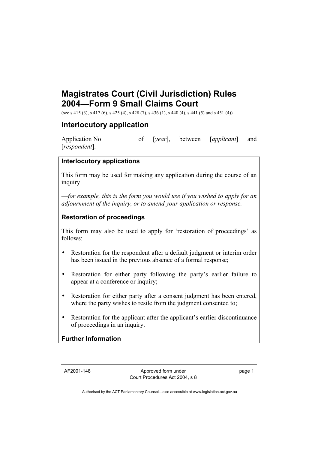# **Magistrates Court (Civil Jurisdiction) Rules 2004—Form 9 Small Claims Court**

(see s 415 (3), s 417 (6), s 425 (4), s 428 (7), s 436 (1), s 440 (4), s 441 (5) and s 451 (4))

## **Interlocutory application**

Application No of [*year*], between [*applicant*] and [*respondent*].

#### **Interlocutory applications**

This form may be used for making any application during the course of an inquiry

—*for example, this is the form you would use if you wished to apply for an adjournment of the inquiry, or to amend your application or response.*

### **Restoration of proceedings**

This form may also be used to apply for 'restoration of proceedings' as follows:

- Restoration for the respondent after a default judgment or interim order has been issued in the previous absence of a formal response;
- Restoration for either party following the party's earlier failure to appear at a conference or inquiry;
- Restoration for either party after a consent judgment has been entered, where the party wishes to resile from the judgment consented to;
- Restoration for the applicant after the applicant's earlier discontinuance of proceedings in an inquiry.

### **Further Information**

AF2001-148 Approved form under Court Procedures Act 2004, s 8 page 1

Authorised by the ACT Parliamentary Counsel—also accessible at www.legislation.act.gov.au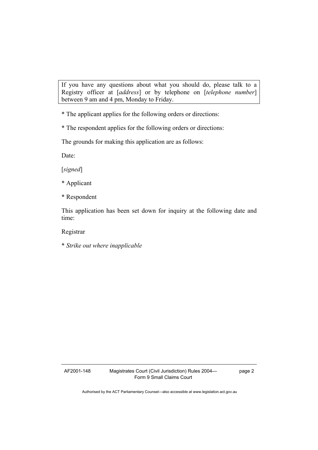If you have any questions about what you should do, please talk to a Registry officer at [*address*] or by telephone on [*telephone number*] between 9 am and 4 pm, Monday to Friday.

\* The applicant applies for the following orders or directions:

\* The respondent applies for the following orders or directions:

The grounds for making this application are as follows:

Date:

[*signed*]

- \* Applicant
- \* Respondent

This application has been set down for inquiry at the following date and time:

Registrar

\* *Strike out where inapplicable* 

AF2001-148 Magistrates Court (Civil Jurisdiction) Rules 2004— Form 9 Small Claims Court

page 2

Authorised by the ACT Parliamentary Counsel—also accessible at www.legislation.act.gov.au